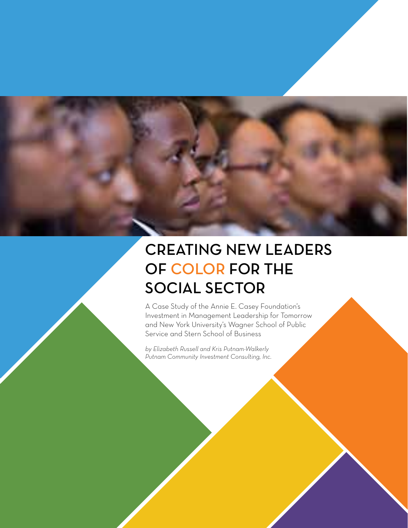# CREATING NEW LEADERS OF COLOR FOR THE SOCIAL SECTOR

A Case Study of the Annie E. Casey Foundation's Investment in Management Leadership for Tomorrow and New York University's Wagner School of Public Service and Stern School of Business

*by Elizabeth Russell and Kris Putnam-Walkerly Putnam Community Investment Consulting, Inc.*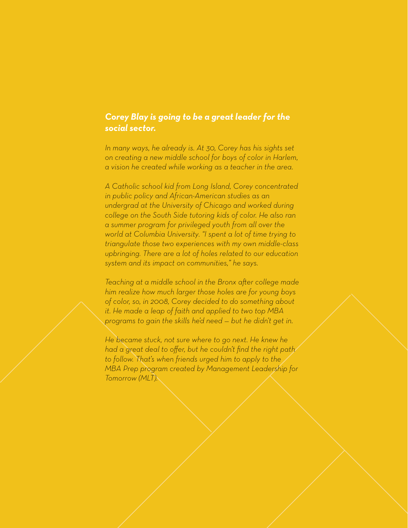# *Corey Blay is going to be a great leader for the social sector.*

*In many ways, he already is. At 30, Corey has his sights set on creating a new middle school for boys of color in Harlem, a vision he created while working as a teacher in the area.* 

*A Catholic school kid from Long Island, Corey concentrated in public policy and African-American studies as an undergrad at the University of Chicago and worked during college on the South Side tutoring kids of color. He also ran a summer program for privileged youth from all over the world at Columbia University. "I spent a lot of time trying to triangulate those two experiences with my own middle-class upbringing. There are a lot of holes related to our education system and its impact on communities," he says.* 

*Teaching at a middle school in the Bronx after college made him realize how much larger those holes are for young boys of color, so, in 2008, Corey decided to do something about it. He made a leap of faith and applied to two top MBA programs to gain the skills he'd need — but he didn't get in.* 

*He became stuck, not sure where to go next. He knew he had a great deal to offer, but he couldn't find the right path to follow. That's when friends urged him to apply to the MBA Prep program created by Management Leadership for Tomorrow (MLT).*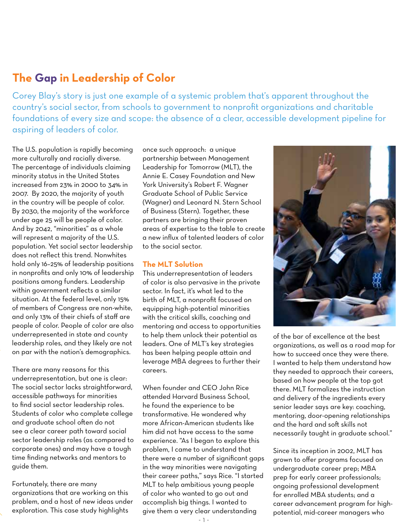# **The Gap in Leadership of Color**

Corey Blay's story is just one example of a systemic problem that's apparent throughout the country's social sector, from schools to government to nonprofit organizations and charitable foundations of every size and scope: the absence of a clear, accessible development pipeline for aspiring of leaders of color.

The U.S. population is rapidly becoming more culturally and racially diverse. The percentage of individuals claiming minority status in the United States increased from 23% in 2000 to 34% in 2007. By 2020, the majority of youth in the country will be people of color. By 2030, the majority of the workforce under age 25 will be people of color. And by 2042, "minorities" as a whole will represent a majority of the U.S. population. Yet social sector leadership does not reflect this trend. Nonwhites hold only 16–25% of leadership positions in nonprofits and only 10% of leadership positions among funders. Leadership within government reflects a similar situation. At the federal level, only 15% of members of Congress are non-white, and only 13% of their chiefs of staff are people of color. People of color are also underrepresented in state and county leadership roles, and they likely are not on par with the nation's demographics.

There are many reasons for this underrepresentation, but one is clear: The social sector lacks straightforward, accessible pathways for minorities to find social sector leadership roles. Students of color who complete college and graduate school often do not see a clear career path toward social sector leadership roles (as compared to corporate ones) and may have a tough time finding networks and mentors to guide them.

Fortunately, there are many organizations that are working on this problem, and a host of new ideas under exploration. This case study highlights

once such approach: a unique partnership between Management Leadership for Tomorrow (MLT), the Annie E. Casey Foundation and New York University's Robert F. Wagner Graduate School of Public Service (Wagner) and Leonard N. Stern School of Business (Stern). Together, these partners are bringing their proven areas of expertise to the table to create a new influx of talented leaders of color to the social sector.

#### **The MLT Solution**

This underrepresentation of leaders of color is also pervasive in the private sector. In fact, it's what led to the birth of MLT, a nonprofit focused on equipping high-potential minorities with the critical skills, coaching and mentoring and access to opportunities to help them unlock their potential as leaders. One of MLT's key strategies has been helping people attain and leverage MBA degrees to further their careers.

When founder and CEO John Rice attended Harvard Business School, he found the experience to be transformative. He wondered why more African-American students like him did not have access to the same experience. "As I began to explore this problem, I came to understand that there were a number of significant gaps in the way minorities were navigating their career paths," says Rice. "I started MLT to help ambitious young people of color who wanted to go out and accomplish big things. I wanted to give them a very clear understanding



of the bar of excellence at the best organizations, as well as a road map for how to succeed once they were there. I wanted to help them understand how they needed to approach their careers, based on how people at the top got there. MLT formalizes the instruction and delivery of the ingredients every senior leader says are key: coaching, mentoring, door-opening relationships and the hard and soft skills not necessarily taught in graduate school."

Since its inception in 2002, MLT has grown to offer programs focused on undergraduate career prep; MBA prep for early career professionals; ongoing professional development for enrolled MBA students; and a career advancement program for highpotential, mid-career managers who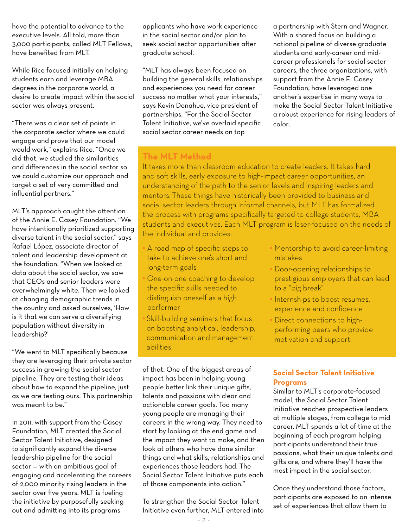have the potential to advance to the executive levels. All told, more than 3,000 participants, called MLT Fellows, have benefited from MLT.

While Rice focused initially on helping students earn and leverage MBA degrees in the corporate world, a desire to create impact within the social sector was always present.

"There was a clear set of points in the corporate sector where we could engage and prove that our model would work," explains Rice. "Once we did that, we studied the similarities and differences in the social sector so we could customize our approach and target a set of very committed and influential partners."

MLT's approach caught the attention of the Annie E. Casey Foundation. "We have intentionally prioritized supporting diverse talent in the social sector," says Rafael López, associate director of talent and leadership development at the foundation. "When we looked at data about the social sector, we saw that CEOs and senior leaders were overwhelmingly white. Then we looked at changing demographic trends in the country and asked ourselves, 'How is it that we can serve a diversifying population without diversity in leadership?'

"We went to MLT specifically because they are leveraging their private sector success in growing the social sector pipeline. They are testing their ideas about how to expand the pipeline, just as we are testing ours. This partnership was meant to be."

In 2011, with support from the Casey Foundation, MLT created the Social Sector Talent Initiative, designed to significantly expand the diverse leadership pipeline for the social sector — with an ambitious goal of engaging and accelerating the careers of 2,000 minority rising leaders in the sector over five years. MLT is fueling the initiative by purposefully seeking out and admitting into its programs

applicants who have work experience in the social sector and/or plan to seek social sector opportunities after graduate school.

"MLT has always been focused on building the general skills, relationships and experiences you need for career success no matter what your interests," says Kevin Donahue, vice president of partnerships. "For the Social Sector Talent Initiative, we've overlaid specific social sector career needs on top

a partnership with Stern and Wagner. With a shared focus on building a national pipeline of diverse graduate students and early-career and midcareer professionals for social sector careers, the three organizations, with support from the Annie E. Casey Foundation, have leveraged one another's expertise in many ways to make the Social Sector Talent Initiative a robust experience for rising leaders of color.

# **The MLT Method**

It takes more than classroom education to create leaders. It takes hard and soft skills, early exposure to high-impact career opportunities, an understanding of the path to the senior levels and inspiring leaders and mentors. These things have historically been provided to business and social sector leaders through informal channels, but MLT has formalized the process with programs specifically targeted to college students, MBA students and executives. Each MLT program is laser-focused on the needs of the individual and provides:

- **•** A road map of specific steps to take to achieve one's short and long-term goals
- **•** One-on-one coaching to develop the specific skills needed to distinguish oneself as a high performer
- **•** Skill-building seminars that focus on boosting analytical, leadership, communication and management abilities

**•** Mentorship to avoid career-limiting mistakes

- **•** Door-opening relationships to prestigious employers that can lead to a "big break"
- **•** Internships to boost resumes, experience and confidence
- **•** Direct connections to highperforming peers who provide motivation and support.

**Social Sector Talent Initiative Programs**

Similar to MLT's corporate-focused model, the Social Sector Talent Initiative reaches prospective leaders at multiple stages, from college to mid career. MLT spends a lot of time at the beginning of each program helping participants understand their true passions, what their unique talents and gifts are, and where they'll have the most impact in the social sector.

Once they understand those factors, participants are exposed to an intense set of experiences that allow them to

of that. One of the biggest areas of impact has been in helping young people better link their unique gifts, talents and passions with clear and actionable career goals. Too many young people are managing their careers in the wrong way. They need to start by looking at the end game and the impact they want to make, and then look at others who have done similar things and what skills, relationships and experiences those leaders had. The Social Sector Talent Initiative puts each of those components into action."

To strengthen the Social Sector Talent Initiative even further, MLT entered into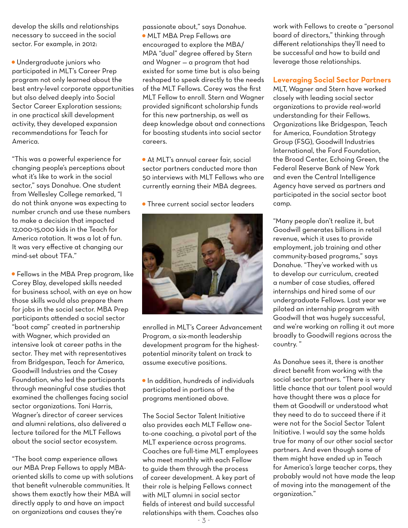develop the skills and relationships necessary to succeed in the social sector. For example, in 2012:

• Undergraduate juniors who participated in MLT's Career Prep program not only learned about the best entry-level corporate opportunities but also delved deeply into Social Sector Career Exploration sessions; in one practical skill development activity, they developed expansion recommendations for Teach for America.

"This was a powerful experience for changing people's perceptions about what it's like to work in the social sector," says Donahue. One student from Wellesley College remarked, "I do not think anyone was expecting to number crunch and use these numbers to make a decision that impacted 12,000-15,000 kids in the Teach for America rotation. It was a lot of fun. It was very effective at changing our mind-set about TFA."

• Fellows in the MBA Prep program, like Corey Blay, developed skills needed for business school, with an eye on how those skills would also prepare them for jobs in the social sector. MBA Prep participants attended a social sector "boot camp" created in partnership with Wagner, which provided an intensive look at career paths in the sector. They met with representatives from Bridgespan, Teach for America, Goodwill Industries and the Casey Foundation, who led the participants through meaningful case studies that examined the challenges facing social sector organizations. Toni Harris, Wagner's director of career services and alumni relations, also delivered a lecture tailored for the MLT Fellows about the social sector ecosystem.

"The boot camp experience allows our MBA Prep Fellows to apply MBAoriented skills to come up with solutions that benefit vulnerable communities. It shows them exactly how their MBA will directly apply to and have an impact on organizations and causes they're

passionate about," says Donahue. • MLT MBA Prep Fellows are encouraged to explore the MBA/ MPA "dual" degree offered by Stern and Wagner — a program that had existed for some time but is also being reshaped to speak directly to the needs of the MLT Fellows. Corey was the first MLT Fellow to enroll. Stern and Wagner provided significant scholarship funds for this new partnership, as well as deep knowledge about and connections for boosting students into social sector careers.

• At MLT's annual career fair, social sector partners conducted more than 50 interviews with MLT Fellows who are currently earning their MBA degrees.

• Three current social sector leaders



enrolled in MLT's Career Advancement Program, a six-month leadership development program for the highestpotential minority talent on track to assume executive positions.

• In addition, hundreds of individuals participated in portions of the programs mentioned above.

The Social Sector Talent Initiative also provides each MLT Fellow oneto-one coaching, a pivotal part of the MLT experience across programs. Coaches are full-time MLT employees who meet monthly with each Fellow to guide them through the process of career development. A key part of their role is helping Fellows connect with MLT alumni in social sector fields of interest and build successful relationships with them. Coaches also

work with Fellows to create a "personal board of directors," thinking through different relationships they'll need to be successful and how to build and leverage those relationships.

**Leveraging Social Sector Partners**

MLT, Wagner and Stern have worked closely with leading social sector organizations to provide real-world understanding for their Fellows. Organizations like Bridgespan, Teach for America, Foundation Strategy Group (FSG), Goodwill Industries International, the Ford Foundation, the Broad Center, Echoing Green, the Federal Reserve Bank of New York and even the Central Intelligence Agency have served as partners and participated in the social sector boot camp.

"Many people don't realize it, but Goodwill generates billions in retail revenue, which it uses to provide employment, job training and other community-based programs," says Donahue. "They've worked with us to develop our curriculum, created a number of case studies, offered internships and hired some of our undergraduate Fellows. Last year we piloted an internship program with Goodwill that was hugely successful, and we're working on rolling it out more broadly to Goodwill regions across the country. "

As Donahue sees it, there is another direct benefit from working with the social sector partners. "There is very little chance that our talent pool would have thought there was a place for them at Goodwill or understood what they need to do to succeed there if it were not for the Social Sector Talent Initiative. I would say the same holds true for many of our other social sector partners. And even though some of them might have ended up in Teach for America's large teacher corps, they probably would not have made the leap of moving into the management of the organization."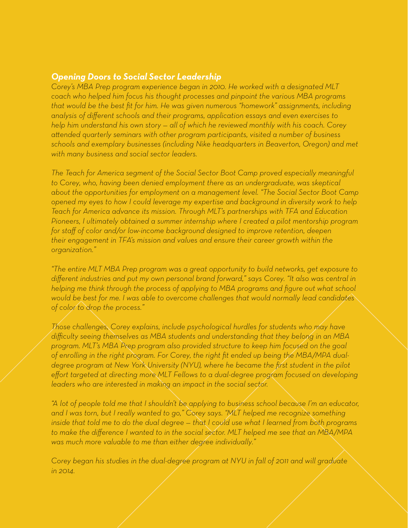## *Opening Doors to Social Sector Leadership*

*Corey's MBA Prep program experience began in 2010. He worked with a designated MLT coach who helped him focus his thought processes and pinpoint the various MBA programs that would be the best fit for him. He was given numerous "homework" assignments, including analysis of different schools and their programs, application essays and even exercises to help him understand his own story — all of which he reviewed monthly with his coach. Corey attended quarterly seminars with other program participants, visited a number of business schools and exemplary businesses (including Nike headquarters in Beaverton, Oregon) and met with many business and social sector leaders.* 

*The Teach for America segment of the Social Sector Boot Camp proved especially meaningful to Corey, who, having been denied employment there as an undergraduate, was skeptical about the opportunities for employment on a management level. "The Social Sector Boot Camp opened my eyes to how I could leverage my expertise and background in diversity work to help Teach for America advance its mission. Through MLT's partnerships with TFA and Education Pioneers, I ultimately obtained a summer internship where I created a pilot mentorship program for staff of color and/or low-income background designed to improve retention, deepen their engagement in TFA's mission and values and ensure their career growth within the organization."* 

*"The entire MLT MBA Prep program was a great opportunity to build networks, get exposure to different industries and put my own personal brand forward," says Corey. "It also was central in helping me think through the process of applying to MBA programs and figure out what school would be best for me. I was able to overcome challenges that would normally lead candidates of color to drop the process."*

*Those challenges, Corey explains, include psychological hurdles for students who may have difficulty seeing themselves as MBA students and understanding that they belong in an MBA program. MLT's MBA Prep program also provided structure to keep him focused on the goal of enrolling in the right program. For Corey, the right fit ended up being the MBA/MPA dualdegree program at New York University (NYU), where he became the first student in the pilot effort targeted at directing more MLT Fellows to a dual-degree program focused on developing leaders who are interested in making an impact in the social sector.*

*"A lot of people told me that I shouldn't be applying to business school because I'm an educator, and I was torn, but I really wanted to go," Corey says. "MLT helped me recognize something inside that told me to do the dual degree — that I could use what I learned from both programs to make the difference I wanted to in the social sector. MLT helped me see that an MBA/MPA was much more valuable to me than either degree individually."*

*Corey began his studies in the dual-degree program at NYU in fall of 2011 and will graduate in 2014.*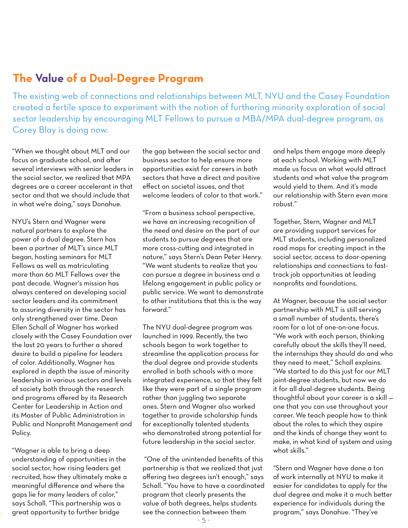# **The Value of a Dual-Degree Program**

The existing web of connections and relationships between MLT, NYU and the Casey Foundation created a fertile space to experiment with the notion of furthering minority exploration of social sector leadership by encouraging MLT Fellows to pursue a MBA/MPA dual-degree program, as Corey Blay is doing now.

"When we thought about MLT and our focus on graduate school, and after several interviews with senior leaders in the social sector, we realized that MPA degrees are a career accelerant in that sector and that we should include that in what we're doing," says Donahue.

NYU's Stern and Wagner were natural partners to explore the power of a dual degree. Stern has been a partner of MLT's since MLT began, hosting seminars for MLT Fellows as well as matriculating more than 60 MLT Fellows over the past decade. Wagner's mission has always centered on developing social sector leaders and its commitment to assuring diversity in the sector has only strengthened over time. Dean Ellen Schall of Wagner has worked closely with the Casey Foundation over the last 20 years to further a shared desire to build a pipeline for leaders of color. Additionally, Wagner has explored in depth the issue of minority leadership in various sectors and levels of society both through the research and programs offered by its Research Center for Leadership in Action and its Master of Public Administration in Public and Nonprofit Management and Policy.

"Wagner is able to bring a deep understanding of opportunities in the social sector, how rising leaders get recruited, how they ultimately make a meaningful difference and where the gaps lie for many leaders of color," says Schall. "This partnership was a great opportunity to further bridge

the gap between the social sector and business sector to help ensure more opportunities exist for careers in both sectors that have a direct and positive effect on societal issues, and that welcome leaders of color to that work."

"From a business school perspective, we have an increasing recognition of the need and desire on the part of our students to pursue degrees that are more cross-cutting and integrated in nature," says Stern's Dean Peter Henry. "We want students to realize that you can pursue a degree in business and a lifelong engagement in public policy or public service. We want to demonstrate to other institutions that this is the way forward."

The NYU dual-degree program was launched in 1999. Recently, the two schools began to work together to streamline the application process for the dual degree and provide students enrolled in both schools with a more integrated experience, so that they felt like they were part of a single program rather than juggling two separate ones. Stern and Wagner also worked together to provide scholarship funds for exceptionally talented students who demonstrated strong potential for future leadership in the social sector.

 "One of the unintended benefits of this partnership is that we realized that just offering two degrees isn't enough," says Schall. "You have to have a coordinated program that clearly presents the value of both degrees, helps students see the connection between them

and helps them engage more deeply at each school. Working with MLT made us focus on what would attract students and what value the program would yield to them. And it's made our relationship with Stern even more robust."

Together, Stern, Wagner and MLT are providing support services for MLT students, including personalized road maps for creating impact in the social sector, access to door-opening relationships and connections to fasttrack job opportunities at leading nonprofits and foundations.

At Wagner, because the social sector partnership with MLT is still serving a small number of students, there's room for a lot of one-on-one focus. "We work with each person, thinking carefully about the skills they'll need, the internships they should do and who they need to meet," Schall explains. "We started to do this just for our MLT joint-degree students, but now we do it for all dual-degree students. Being thoughtful about your career is a skill one that you can use throughout your career. We teach people how to think about the roles to which they aspire and the kinds of change they want to make, in what kind of system and using what skills."

"Stern and Wagner have done a ton of work internally at NYU to make it easier for candidates to apply for the dual degree and make it a much better experience for individuals during the program," says Donahue. "They've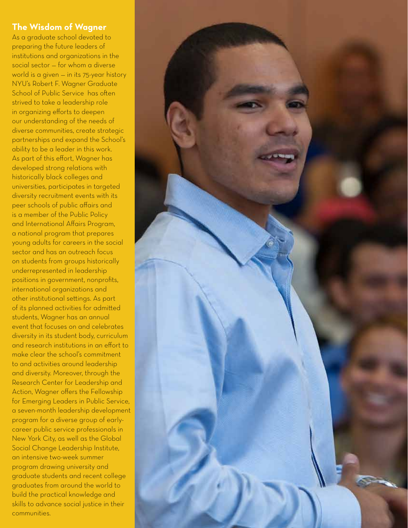# **The Wisdom of Wagner**

As a graduate school devoted to preparing the future leaders of institutions and organizations in the social sector — for whom a diverse world is a given — in its 75-year history NYU's Robert F. Wagner Graduate School of Public Service has often strived to take a leadership role in organizing efforts to deepen our understanding of the needs of diverse communities, create strategic partnerships and expand the School's ability to be a leader in this work. As part of this effort, Wagner has developed strong relations with historically black colleges and universities, participates in targeted diversity recruitment events with its peer schools of public affairs and is a member of the Public Policy and International Affairs Program, a national program that prepares young adults for careers in the social sector and has an outreach focus on students from groups historically underrepresented in leadership positions in government, nonprofits, international organizations and other institutional settings. As part of its planned activities for admitted students, Wagner has an annual event that focuses on and celebrates diversity in its student body, curriculum and research institutions in an effort to make clear the school's commitment to and activities around leadership and diversity. Moreover, through the Research Center for Leadership and Action, Wagner offers the Fellowship for Emerging Leaders in Public Service, a seven-month leadership development program for a diverse group of earlycareer public service professionals in New York City, as well as the Global Social Change Leadership Institute, an intensive two-week summer program drawing university and graduate students and recent college graduates from around the world to build the practical knowledge and skills to advance social justice in their communities.

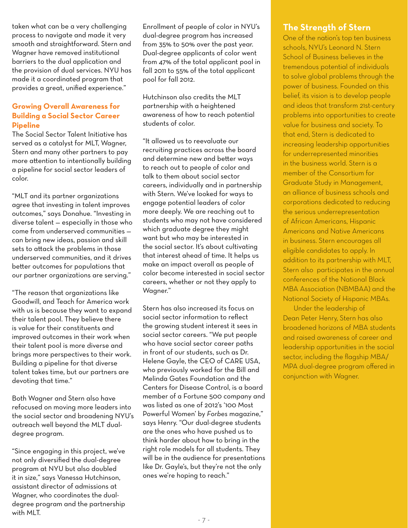taken what can be a very challenging process to navigate and made it very smooth and straightforward. Stern and Wagner have removed institutional barriers to the dual application and the provision of dual services. NYU has made it a coordinated program that provides a great, unified experience."

## **Growing Overall Awareness for Building a Social Sector Career Pipeline**

The Social Sector Talent Initiative has served as a catalyst for MLT, Wagner, Stern and many other partners to pay more attention to intentionally building a pipeline for social sector leaders of color.

"MLT and its partner organizations agree that investing in talent improves outcomes," says Donahue. "Investing in diverse talent — especially in those who come from underserved communities can bring new ideas, passion and skill sets to attack the problems in those underserved communities, and it drives better outcomes for populations that our partner organizations are serving."

"The reason that organizations like Goodwill, and Teach for America work with us is because they want to expand their talent pool. They believe there is value for their constituents and improved outcomes in their work when their talent pool is more diverse and brings more perspectives to their work. Building a pipeline for that diverse talent takes time, but our partners are devoting that time."

Both Wagner and Stern also have refocused on moving more leaders into the social sector and broadening NYU's outreach well beyond the MLT dualdegree program.

"Since engaging in this project, we've not only diversified the dual-degree program at NYU but also doubled it in size," says Vanessa Hutchinson, assistant director of admissions at Wagner, who coordinates the dualdegree program and the partnership with MLT.

Enrollment of people of color in NYU's dual-degree program has increased from 35% to 50% over the past year. Dual-degree applicants of color went from 47% of the total applicant pool in fall 2011 to 55% of the total applicant pool for fall 2012.

Hutchinson also credits the MLT partnership with a heightened awareness of how to reach potential students of color.

"It allowed us to reevaluate our recruiting practices across the board and determine new and better ways to reach out to people of color and talk to them about social sector careers, individually and in partnership with Stern. We've looked for ways to engage potential leaders of color more deeply. We are reaching out to students who may not have considered which graduate degree they might want but who may be interested in the social sector. It's about cultivating that interest ahead of time. It helps us make an impact overall as people of color become interested in social sector careers, whether or not they apply to Wagner."

Stern has also increased its focus on social sector information to reflect the growing student interest it sees in social sector careers. "We put people who have social sector career paths in front of our students, such as Dr. Helene Gayle, the CEO of CARE USA, who previously worked for the Bill and Melinda Gates Foundation and the Centers for Disease Control, is a board member of a Fortune 500 company and was listed as one of 2012's '100 Most Powerful Women' by *Forbes* magazine," says Henry. "Our dual-degree students are the ones who have pushed us to think harder about how to bring in the right role models for all students. They will be in the audience for presentations like Dr. Gayle's, but they're not the only ones we're hoping to reach."

# **The Strength of Stern**

One of the nation's top ten business schools, NYU's Leonard N. Stern School of Business believes in the tremendous potential of individuals to solve global problems through the power of business. Founded on this belief, its vision is to develop people and ideas that transform 21st-century problems into opportunities to create value for business and society. To that end, Stern is dedicated to increasing leadership opportunities for underrepresented minorities in the business world. Stern is a member of the Consortium for Graduate Study in Management, an alliance of business schools and corporations dedicated to reducing the serious underrepresentation of African Americans, Hispanic Americans and Native Americans in business. Stern encourages all eligible candidates to apply. In addition to its partnership with MLT, Stern also participates in the annual conferences of the National Black MBA Association (NBMBAA) and the National Society of Hispanic MBAs.

Under the leadership of Dean Peter Henry, Stern has also broadened horizons of MBA students and raised awareness of career and leadership opportunities in the social sector, including the flagship MBA/ MPA dual-degree program offered in conjunction with Wagner.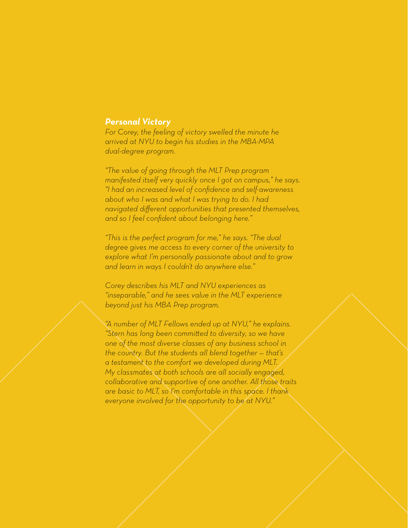#### *Personal Victory*

*For Corey, the feeling of victory swelled the minute he arrived at NYU to begin his studies in the MBA-MPA dual-degree program.* 

*"The value of going through the MLT Prep program manifested itself very quickly once I got on campus," he says. "I had an increased level of confidence and self-awareness about who I was and what I was trying to do. I had navigated different opportunities that presented themselves, and so I feel confident about belonging here."* 

*"This is the perfect program for me," he says. "The dual degree gives me access to every corner of the university to explore what I'm personally passionate about and to grow and learn in ways I couldn't do anywhere else."*

*Corey describes his MLT and NYU experiences as "inseparable," and he sees value in the MLT experience beyond just his MBA Prep program.* 

*"A number of MLT Fellows ended up at NYU," he explains. "Stern has long been committed to diversity, so we have one of the most diverse classes of any business school in the country. But the students all blend together — that's a testament to the comfort we developed during MLT. My classmates at both schools are all socially engaged, collaborative and supportive of one another. All those traits are basic to MLT, so I'm comfortable in this space. I thank everyone involved for the opportunity to be at NYU."*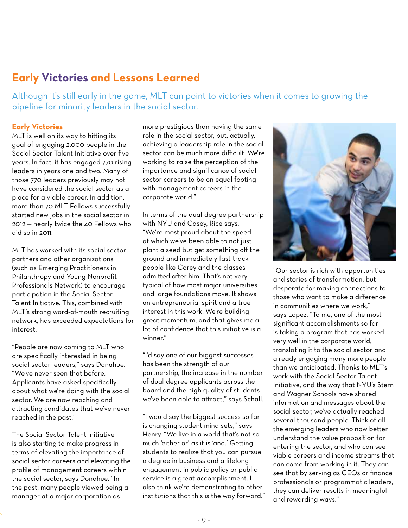# **Early Victories and Lessons Learned**

Although it's still early in the game, MLT can point to victories when it comes to growing the pipeline for minority leaders in the social sector.

#### **Early Victories**

MLT is well on its way to hitting its goal of engaging 2,000 people in the Social Sector Talent Initiative over five years. In fact, it has engaged 770 rising leaders in years one and two. Many of those 770 leaders previously may not have considered the social sector as a place for a viable career. In addition, more than 70 MLT Fellows successfully started new jobs in the social sector in 2012 — nearly twice the 40 Fellows who did so in 2011.

MLT has worked with its social sector partners and other organizations (such as Emerging Practitioners in Philanthropy and Young Nonprofit Professionals Network) to encourage participation in the Social Sector Talent Initiative. This, combined with MLT's strong word-of-mouth recruiting network, has exceeded expectations for interest.

"People are now coming to MLT who are specifically interested in being social sector leaders," says Donahue. "We've never seen that before. Applicants have asked specifically about what we're doing with the social sector. We are now reaching and attracting candidates that we've never reached in the past."

The Social Sector Talent Initiative is also starting to make progress in terms of elevating the importance of social sector careers and elevating the profile of management careers within the social sector, says Donahue. "In the past, many people viewed being a manager at a major corporation as

more prestigious than having the same role in the social sector, but, actually, achieving a leadership role in the social sector can be much more difficult. We're working to raise the perception of the importance and significance of social sector careers to be on equal footing with management careers in the corporate world."

In terms of the dual-degree partnership with NYU and Casey, Rice says, "We're most proud about the speed at which we've been able to not just plant a seed but get something off the ground and immediately fast-track people like Corey and the classes admitted after him. That's not very typical of how most major universities and large foundations move. It shows an entrepreneurial spirit and a true interest in this work. We're building great momentum, and that gives me a lot of confidence that this initiative is a winner."

"I'd say one of our biggest successes has been the strength of our partnership, the increase in the number of dual-degree applicants across the board and the high quality of students we've been able to attract," says Schall.

"I would say the biggest success so far is changing student mind sets," says Henry. "We live in a world that's not so much 'either or' as it is 'and.' Getting students to realize that you can pursue a degree in business and a lifelong engagement in public policy or public service is a great accomplishment. I also think we're demonstrating to other institutions that this is the way forward."



"Our sector is rich with opportunities and stories of transformation, but desperate for making connections to those who want to make a difference in communities where we work," says López. "To me, one of the most significant accomplishments so far is taking a program that has worked very well in the corporate world, translating it to the social sector and already engaging many more people than we anticipated. Thanks to MLT's work with the Social Sector Talent Initiative, and the way that NYU's Stern and Wagner Schools have shared information and messages about the social sector, we've actually reached several thousand people. Think of all the emerging leaders who now better understand the value proposition for entering the sector, and who can see viable careers and income streams that can come from working in it. They can see that by serving as CEOs or finance professionals or programmatic leaders, they can deliver results in meaningful and rewarding ways."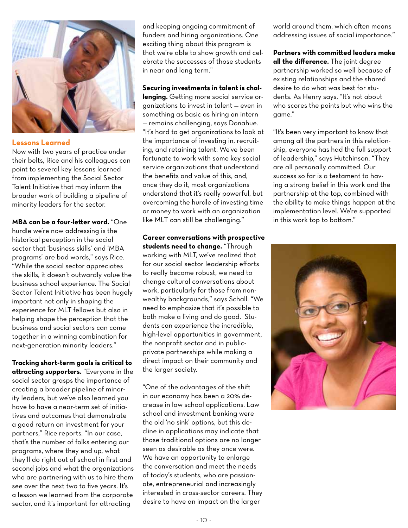

#### **Lessons Learned**

Now with two years of practice under their belts, Rice and his colleagues can point to several key lessons learned from implementing the Social Sector Talent Initiative that may inform the broader work of building a pipeline of minority leaders for the sector.

**MBA can be a four-letter word.** "One hurdle we're now addressing is the historical perception in the social sector that 'business skills' and 'MBA programs' are bad words," says Rice. "While the social sector appreciates the skills, it doesn't outwardly value the business school experience. The Social Sector Talent Initiative has been hugely important not only in shaping the experience for MLT fellows but also in helping shape the perception that the business and social sectors can come together in a winning combination for next-generation minority leaders."

**Tracking short-term goals is critical to attracting supporters.** "Everyone in the social sector grasps the importance of creating a broader pipeline of minority leaders, but we've also learned you have to have a near-term set of initiatives and outcomes that demonstrate a good return on investment for your partners," Rice reports. "In our case, that's the number of folks entering our programs, where they end up, what they'll do right out of school in first and second jobs and what the organizations who are partnering with us to hire them see over the next two to five years. It's a lesson we learned from the corporate sector, and it's important for attracting

and keeping ongoing commitment of funders and hiring organizations. One exciting thing about this program is that we're able to show growth and celebrate the successes of those students in near and long term."

#### **Securing investments in talent is chal-**

**lenging.** Getting more social service organizations to invest in talent — even in something as basic as hiring an intern — remains challenging, says Donahue. "It's hard to get organizations to look at the importance of investing in, recruiting, and retaining talent. We've been fortunate to work with some key social service organizations that understand the benefits and value of this, and, once they do it, most organizations understand that it's really powerful, but overcoming the hurdle of investing time or money to work with an organization like MLT can still be challenging."

**Career conversations with prospective students need to change.** "Through working with MLT, we've realized that for our social sector leadership efforts to really become robust, we need to change cultural conversations about work, particularly for those from nonwealthy backgrounds," says Schall. "We need to emphasize that it's possible to both make a living and do good. Students can experience the incredible, high-level opportunities in government, the nonprofit sector and in publicprivate partnerships while making a direct impact on their community and the larger society.

"One of the advantages of the shift in our economy has been a 20% decrease in law school applications. Law school and investment banking were the old 'no sink' options, but this decline in applications may indicate that those traditional options are no longer seen as desirable as they once were. We have an opportunity to enlarge the conversation and meet the needs of today's students, who are passionate, entrepreneurial and increasingly interested in cross-sector careers. They desire to have an impact on the larger

world around them, which often means addressing issues of social importance."

**Partners with committed leaders make all the difference.** The joint degree partnership worked so well because of existing relationships and the shared desire to do what was best for students. As Henry says, "It's not about who scores the points but who wins the game."

"It's been very important to know that among all the partners in this relationship, everyone has had the full support of leadership," says Hutchinson. "They are all personally committed. Our success so far is a testament to having a strong belief in this work and the partnership at the top, combined with the ability to make things happen at the implementation level. We're supported in this work top to bottom."

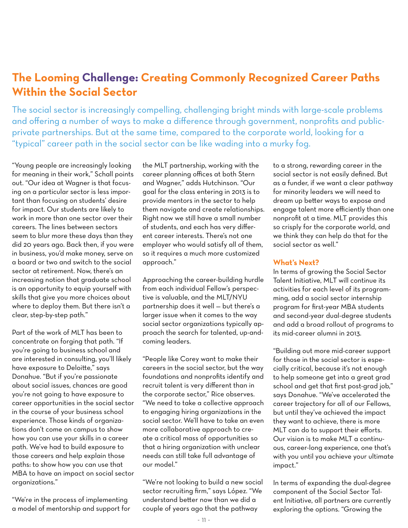# **The Looming Challenge: Creating Commonly Recognized Career Paths Within the Social Sector**

The social sector is increasingly compelling, challenging bright minds with large-scale problems and offering a number of ways to make a difference through government, nonprofits and publicprivate partnerships. But at the same time, compared to the corporate world, looking for a "typical" career path in the social sector can be like wading into a murky fog.

"Young people are increasingly looking for meaning in their work," Schall points out. "Our idea at Wagner is that focusing on a particular sector is less important than focusing on students' desire for impact. Our students are likely to work in more than one sector over their careers. The lines between sectors seem to blur more these days than they did 20 years ago. Back then, if you were in business, you'd make money, serve on a board or two and switch to the social sector at retirement. Now, there's an increasing notion that graduate school is an opportunity to equip yourself with skills that give you more choices about where to deploy them. But there isn't a clear, step-by-step path."

Part of the work of MLT has been to concentrate on forging that path. "If you're going to business school and are interested in consulting, you'll likely have exposure to Deloitte," says Donahue. "But if you're passionate about social issues, chances are good you're not going to have exposure to career opportunities in the social sector in the course of your business school experience. Those kinds of organizations don't come on campus to show how you can use your skills in a career path. We've had to build exposure to those careers and help explain those paths: to show how you can use that MBA to have an impact on social sector organizations."

"We're in the process of implementing a model of mentorship and support for the MLT partnership, working with the career planning offices at both Stern and Wagner," adds Hutchinson. "Our goal for the class entering in 2013 is to provide mentors in the sector to help them navigate and create relationships. Right now we still have a small number of students, and each has very different career interests. There's not one employer who would satisfy all of them, so it requires a much more customized approach."

Approaching the career-building hurdle from each individual Fellow's perspective is valuable, and the MLT/NYU partnership does it well — but there's a larger issue when it comes to the way social sector organizations typically approach the search for talented, up-andcoming leaders.

"People like Corey want to make their careers in the social sector, but the way foundations and nonprofits identify and recruit talent is very different than in the corporate sector," Rice observes. "We need to take a collective approach to engaging hiring organizations in the social sector. We'll have to take an even more collaborative approach to create a critical mass of opportunities so that a hiring organization with unclear needs can still take full advantage of our model."

"We're not looking to build a new social sector recruiting firm," says López. "We understand better now than we did a couple of years ago that the pathway

to a strong, rewarding career in the social sector is not easily defined. But as a funder, if we want a clear pathway for minority leaders we will need to dream up better ways to expose and engage talent more efficiently than one nonprofit at a time. MLT provides this so crisply for the corporate world, and we think they can help do that for the social sector as well."

#### **What's Next?**

In terms of growing the Social Sector Talent Initiative, MLT will continue its activities for each level of its programming, add a social sector internship program for first-year MBA students and second-year dual-degree students and add a broad rollout of programs to its mid-career alumni in 2013.

"Building out more mid-career support for those in the social sector is especially critical, because it's not enough to help someone get into a great grad school and get that first post-grad job," says Donahue. "We've accelerated the career trajectory for all of our Fellows, but until they've achieved the impact they want to achieve, there is more MLT can do to support their efforts. Our vision is to make MLT a continuous, career-long experience, one that's with you until you achieve your ultimate impact."

In terms of expanding the dual-degree component of the Social Sector Talent Initiative, all partners are currently exploring the options. "Growing the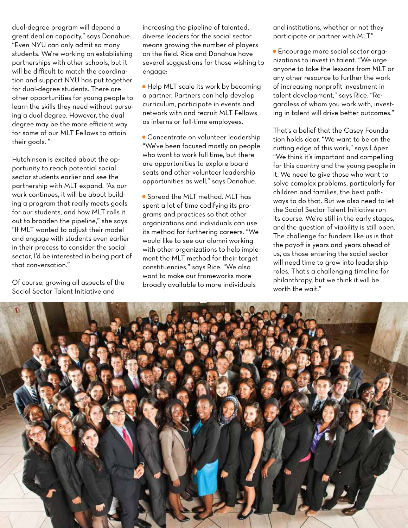dual-degree program will depend a great deal on capacity," says Donahue. "Even NYU can only admit so many students. We're working on establishing partnerships with other schools, but it will be difficult to match the coordination and support NYU has put together for dual-degree students. There are other opportunities for young people to learn the skills they need without pursuing a dual degree. However, the dual degree may be the more efficient way for some of our MLT Fellows to attain their goals. "

Hutchinson is excited about the opportunity to reach potential social sector students earlier and see the partnership with MLT expand. "As our work continues, it will be about building a program that really meets goals for our students, and how MLT rolls it out to broaden the pipeline," she says. "If MLT wanted to adjust their model and engage with students even earlier in their process to consider the social sector, I'd be interested in being part of that conversation."

Of course, growing all aspects of the Social Sector Talent Initiative and

increasing the pipeline of talented, diverse leaders for the social sector means growing the number of players on the field. Rice and Donahue have several suggestions for those wishing to engage:

• Help MLT scale its work by becoming a partner. Partners can help develop curriculum, participate in events and network with and recruit MLT Fellows as interns or full-time employees.

• Concentrate on volunteer leadership. "We've been focused mostly on people who want to work full time, but there are opportunities to explore board seats and other volunteer leadership opportunities as well," says Donahue.

• Spread the MLT method. MLT has spent a lot of time codifying its programs and practices so that other organizations and individuals can use its method for furthering careers. "We would like to see our alumni working with other organizations to help implement the MLT method for their target constituencies," says Rice. "We also want to make our frameworks more broadly available to more individuals

and institutions, whether or not they participate or partner with MLT."

• Encourage more social sector organizations to invest in talent. "We urge anyone to take the lessons from MLT or any other resource to further the work of increasing nonprofit investment in talent development," says Rice. "Regardless of whom you work with, investing in talent will drive better outcomes."

That's a belief that the Casey Foundation holds dear. "We want to be on the cutting edge of this work," says López. "We think it's important and compelling for this country and the young people in it. We need to give those who want to solve complex problems, particularly for children and families, the best pathways to do that. But we also need to let the Social Sector Talent Initiative run its course. We're still in the early stages, and the question of viability is still open. The challenge for funders like us is that the payoff is years and years ahead of us, as those entering the social sector will need time to grow into leadership roles. That's a challenging timeline for philanthropy, but we think it will be worth the wait."

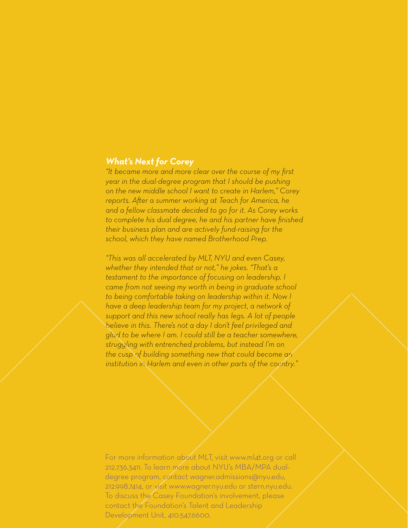### *What's Next for Corey*

*"It became more and more clear over the course of my first year in the dual-degree program that I should be pushing on the new middle school I want to create in Harlem," Corey reports. After a summer working at Teach for America, he and a fellow classmate decided to go for it. As Corey works to complete his dual degree, he and his partner have finished their business plan and are actively fund-raising for the school, which they have named Brotherhood Prep.* 

*"This was all accelerated by MLT, NYU and even Casey, whether they intended that or not," he jokes. "That's a testament to the importance of focusing on leadership. I came from not seeing my worth in being in graduate school to being comfortable taking on leadership within it. Now I have a deep leadership team for my project, a network of support and this new school really has legs. A lot of people believe in this. There's not a day I don't feel privileged and glad to be where I am. I could still be a teacher somewhere, struggling with entrenched problems, but instead I'm on the cusp of building something new that could become an institution in Harlem and even in other parts of the country."*

Development Unit, 410.547.6600. For more information about MLT, visit www.ml4t.org or call 212.736.3411. To learn more about NYU's MBA/MPA dualdegree program, contact wagner.admissions@nyu.edu, 212.998.7414, or visit www.wagner.nyu.edu or stern.nyu.edu. To discuss the Casey Foundation's involvement, please contact the Foundation's Talent and Leadership